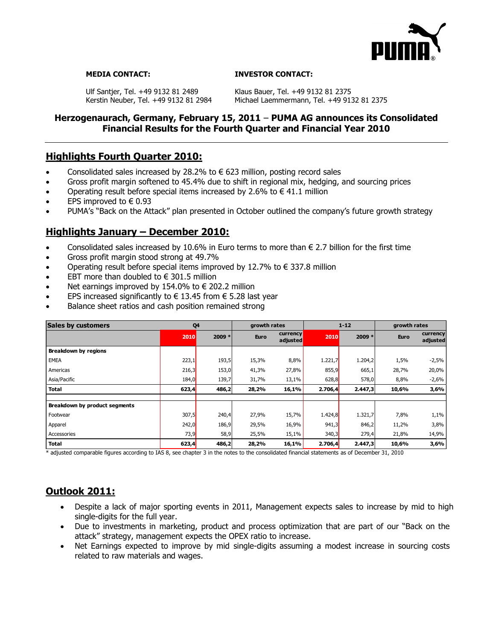

### **MEDIA CONTACT: INVESTOR CONTACT:**

Ulf Santjer, Tel. +49 9132 81 2489 Klaus Bauer, Tel. +49 9132 81 2375<br>Kerstin Neuber, Tel. +49 9132 81 2984 Michael Laemmermann, Tel. +49 91

Michael Laemmermann, Tel. +49 9132 81 2375

# **Herzogenaurach, Germany, February 15, 2011** – **PUMA AG announces its Consolidated Financial Results for the Fourth Quarter and Financial Year 2010**

# **Highlights Fourth Quarter 2010:**

- Consolidated sales increased by 28.2% to  $\epsilon$  623 million, posting record sales
- Gross profit margin softened to 45.4% due to shift in regional mix, hedging, and sourcing prices
- Operating result before special items increased by 2.6% to  $\in$  41.1 million
- EPS improved to  $\in 0.93$
- PUMA's "Back on the Attack" plan presented in October outlined the company's future growth strategy

# **Highlights January – December 2010:**

- Consolidated sales increased by 10.6% in Euro terms to more than  $\epsilon$  2.7 billion for the first time
- Gross profit margin stood strong at 49.7%
- Operating result before special items improved by 12.7% to  $\epsilon$  337.8 million
- $\bullet$  EBT more than doubled to  $\epsilon$  301.5 million
- Net earnings improved by 154.0% to  $\epsilon$  202.2 million
- EPS increased significantly to  $\epsilon$  13.45 from  $\epsilon$  5.28 last year
- Balance sheet ratios and cash position remained strong

| <b>Sales by customers</b>     | Q4    |        | growth rates |                      | $1 - 12$ |          | growth rates |                      |
|-------------------------------|-------|--------|--------------|----------------------|----------|----------|--------------|----------------------|
|                               | 2010  | 2009 * | <b>Euro</b>  | currency<br>adjusted | 2010     | $2009 *$ | <b>Euro</b>  | currency<br>adjusted |
| <b>Breakdown by regions</b>   |       |        |              |                      |          |          |              |                      |
| <b>EMEA</b>                   | 223,1 | 193,5  | 15,3%        | 8,8%                 | 1.221,7  | 1.204,2  | 1,5%         | $-2,5%$              |
| Americas                      | 216,3 | 153,0  | 41,3%        | 27,8%                | 855,9    | 665,1    | 28,7%        | 20,0%                |
| Asia/Pacific                  | 184,0 | 139,7  | 31,7%        | 13,1%                | 628,8    | 578,0    | 8,8%         | $-2,6%$              |
| <b>Total</b>                  | 623,4 | 486,2  | 28,2%        | 16,1%                | 2.706,4  | 2.447,3  | 10,6%        | 3,6%                 |
|                               |       |        |              |                      |          |          |              |                      |
| Breakdown by product segments |       |        |              |                      |          |          |              |                      |
| Footwear                      | 307,5 | 240,4  | 27,9%        | 15,7%                | 1.424,8  | 1.321,7  | 7,8%         | 1,1%                 |
| Apparel                       | 242,0 | 186,9  | 29,5%        | 16,9%                | 941,3    | 846,2    | 11,2%        | 3,8%                 |
| Accessories                   | 73,9  | 58,9   | 25,5%        | 15,1%                | 340,3    | 279,4    | 21,8%        | 14,9%                |
| <b>Total</b>                  | 623,4 | 486,2  | 28,2%        | 16,1%                | 2.706,4  | 2.447,3  | 10,6%        | 3,6%                 |

\* adjusted comparable figures according to IAS 8, see chapter 3 in the notes to the consolidated financial statements as of December 31, 2010

# **Outlook 2011:**

- Despite a lack of major sporting events in 2011, Management expects sales to increase by mid to high single-digits for the full year.
- Due to investments in marketing, product and process optimization that are part of our "Back on the attack" strategy, management expects the OPEX ratio to increase.
- Net Earnings expected to improve by mid single-digits assuming a modest increase in sourcing costs related to raw materials and wages.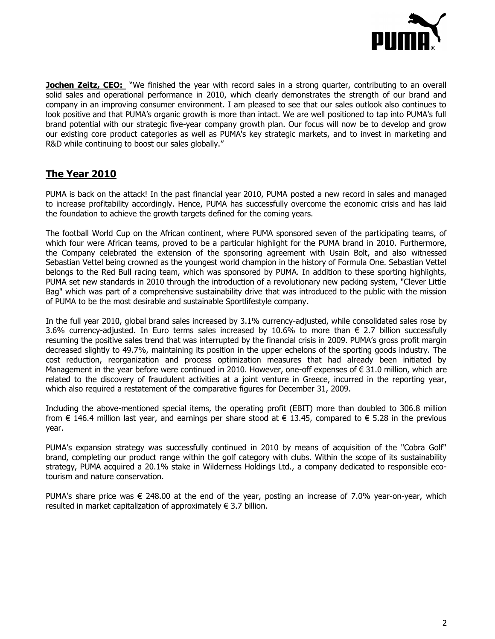

**Jochen Zeitz, CEO:** "We finished the year with record sales in a strong quarter, contributing to an overall solid sales and operational performance in 2010, which clearly demonstrates the strength of our brand and company in an improving consumer environment. I am pleased to see that our sales outlook also continues to look positive and that PUMA's organic growth is more than intact. We are well positioned to tap into PUMA's full brand potential with our strategic five-year company growth plan. Our focus will now be to develop and grow our existing core product categories as well as PUMA's key strategic markets, and to invest in marketing and R&D while continuing to boost our sales globally."

# **The Year 2010**

PUMA is back on the attack! In the past financial year 2010, PUMA posted a new record in sales and managed to increase profitability accordingly. Hence, PUMA has successfully overcome the economic crisis and has laid the foundation to achieve the growth targets defined for the coming years.

The football World Cup on the African continent, where PUMA sponsored seven of the participating teams, of which four were African teams, proved to be a particular highlight for the PUMA brand in 2010. Furthermore, the Company celebrated the extension of the sponsoring agreement with Usain Bolt, and also witnessed Sebastian Vettel being crowned as the youngest world champion in the history of Formula One. Sebastian Vettel belongs to the Red Bull racing team, which was sponsored by PUMA. In addition to these sporting highlights, PUMA set new standards in 2010 through the introduction of a revolutionary new packing system, "Clever Little Bag" which was part of a comprehensive sustainability drive that was introduced to the public with the mission of PUMA to be the most desirable and sustainable Sportlifestyle company.

In the full year 2010, global brand sales increased by 3.1% currency-adjusted, while consolidated sales rose by 3.6% currency-adjusted. In Euro terms sales increased by 10.6% to more than  $\epsilon$  2.7 billion successfully resuming the positive sales trend that was interrupted by the financial crisis in 2009. PUMA's gross profit margin decreased slightly to 49.7%, maintaining its position in the upper echelons of the sporting goods industry. The cost reduction, reorganization and process optimization measures that had already been initiated by Management in the year before were continued in 2010. However, one-off expenses of  $\epsilon$  31.0 million, which are related to the discovery of fraudulent activities at a joint venture in Greece, incurred in the reporting year, which also required a restatement of the comparative figures for December 31, 2009.

Including the above-mentioned special items, the operating profit (EBIT) more than doubled to 306.8 million from  $\epsilon$  146.4 million last year, and earnings per share stood at  $\epsilon$  13.45, compared to  $\epsilon$  5.28 in the previous year.

PUMA's expansion strategy was successfully continued in 2010 by means of acquisition of the "Cobra Golf" brand, completing our product range within the golf category with clubs. Within the scope of its sustainability strategy, PUMA acquired a 20.1% stake in Wilderness Holdings Ltd., a company dedicated to responsible ecotourism and nature conservation.

PUMA's share price was  $\epsilon$  248.00 at the end of the year, posting an increase of 7.0% year-on-year, which resulted in market capitalization of approximately  $\in$  3.7 billion.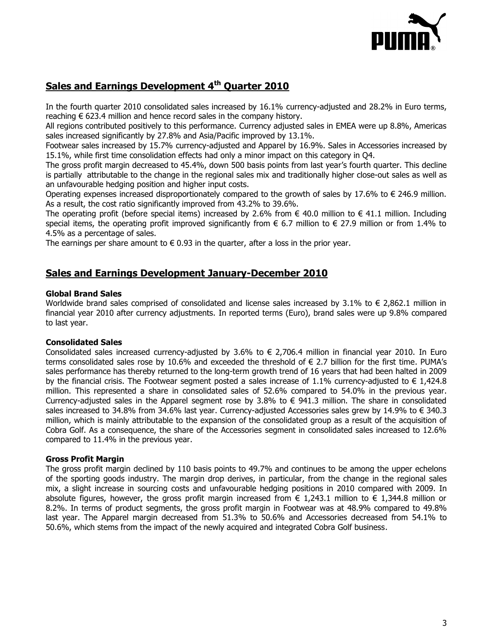

# **Sales and Earnings Development 4th Quarter 2010**

In the fourth quarter 2010 consolidated sales increased by 16.1% currency-adjusted and 28.2% in Euro terms, reaching  $\epsilon$  623.4 million and hence record sales in the company history.

All regions contributed positively to this performance. Currency adjusted sales in EMEA were up 8.8%, Americas sales increased significantly by 27.8% and Asia/Pacific improved by 13.1%.

Footwear sales increased by 15.7% currency-adjusted and Apparel by 16.9%. Sales in Accessories increased by 15.1%, while first time consolidation effects had only a minor impact on this category in Q4.

The gross profit margin decreased to 45.4%, down 500 basis points from last year's fourth quarter. This decline is partially attributable to the change in the regional sales mix and traditionally higher close-out sales as well as an unfavourable hedging position and higher input costs.

Operating expenses increased disproportionately compared to the growth of sales by 17.6% to  $\in$  246.9 million. As a result, the cost ratio significantly improved from 43.2% to 39.6%.

The operating profit (before special items) increased by 2.6% from  $\epsilon$  40.0 million to  $\epsilon$  41.1 million. Including special items, the operating profit improved significantly from  $\epsilon$  6.7 million to  $\epsilon$  27.9 million or from 1.4% to 4.5% as a percentage of sales.

The earnings per share amount to  $\epsilon$  0.93 in the quarter, after a loss in the prior year.

# **Sales and Earnings Development January-December 2010**

## **Global Brand Sales**

Worldwide brand sales comprised of consolidated and license sales increased by 3.1% to  $\in$  2,862.1 million in financial year 2010 after currency adjustments. In reported terms (Euro), brand sales were up 9.8% compared to last year.

# **Consolidated Sales**

Consolidated sales increased currency-adjusted by 3.6% to  $\epsilon$  2,706.4 million in financial year 2010. In Euro terms consolidated sales rose by 10.6% and exceeded the threshold of € 2.7 billion for the first time. PUMA's sales performance has thereby returned to the long-term growth trend of 16 years that had been halted in 2009 by the financial crisis. The Footwear segment posted a sales increase of 1.1% currency-adjusted to  $\epsilon$  1.424.8 million. This represented a share in consolidated sales of 52.6% compared to 54.0% in the previous year. Currency-adjusted sales in the Apparel segment rose by 3.8% to  $\epsilon$  941.3 million. The share in consolidated sales increased to 34.8% from 34.6% last year. Currency-adjusted Accessories sales grew by 14.9% to € 340.3 million, which is mainly attributable to the expansion of the consolidated group as a result of the acquisition of Cobra Golf. As a consequence, the share of the Accessories segment in consolidated sales increased to 12.6% compared to 11.4% in the previous year.

### **Gross Profit Margin**

The gross profit margin declined by 110 basis points to 49.7% and continues to be among the upper echelons of the sporting goods industry. The margin drop derives, in particular, from the change in the regional sales mix, a slight increase in sourcing costs and unfavourable hedging positions in 2010 compared with 2009. In absolute figures, however, the gross profit margin increased from  $\epsilon$  1.243.1 million to  $\epsilon$  1.344.8 million or 8.2%. In terms of product segments, the gross profit margin in Footwear was at 48.9% compared to 49.8% last year. The Apparel margin decreased from 51.3% to 50.6% and Accessories decreased from 54.1% to 50.6%, which stems from the impact of the newly acquired and integrated Cobra Golf business.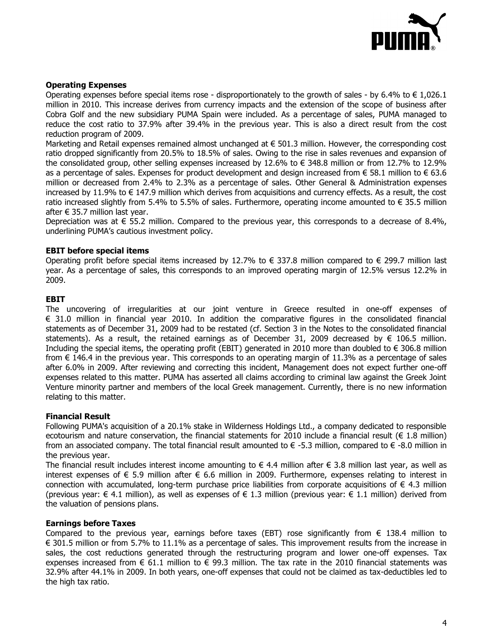

# **Operating Expenses**

Operating expenses before special items rose - disproportionately to the growth of sales - by 6.4% to  $\in$  1,026.1 million in 2010. This increase derives from currency impacts and the extension of the scope of business after Cobra Golf and the new subsidiary PUMA Spain were included. As a percentage of sales, PUMA managed to reduce the cost ratio to 37.9% after 39.4% in the previous year. This is also a direct result from the cost reduction program of 2009.

Marketing and Retail expenses remained almost unchanged at € 501.3 million. However, the corresponding cost ratio dropped significantly from 20.5% to 18.5% of sales. Owing to the rise in sales revenues and expansion of the consolidated group, other selling expenses increased by 12.6% to € 348.8 million or from 12.7% to 12.9% as a percentage of sales. Expenses for product development and design increased from  $\epsilon$  58.1 million to  $\epsilon$  63.6 million or decreased from 2.4% to 2.3% as a percentage of sales. Other General & Administration expenses increased by 11.9% to € 147.9 million which derives from acquisitions and currency effects. As a result, the cost ratio increased slightly from 5.4% to 5.5% of sales. Furthermore, operating income amounted to  $\epsilon$  35.5 million after  $\epsilon$  35.7 million last year.

Depreciation was at  $\epsilon$  55.2 million. Compared to the previous year, this corresponds to a decrease of 8.4%, underlining PUMA's cautious investment policy.

# **EBIT before special items**

Operating profit before special items increased by 12.7% to  $\epsilon$  337.8 million compared to  $\epsilon$  299.7 million last year. As a percentage of sales, this corresponds to an improved operating margin of 12.5% versus 12.2% in 2009.

## **EBIT**

The uncovering of irregularities at our joint venture in Greece resulted in one-off expenses of € 31.0 million in financial year 2010. In addition the comparative figures in the consolidated financial statements as of December 31, 2009 had to be restated (cf. Section 3 in the Notes to the consolidated financial statements). As a result, the retained earnings as of December 31, 2009 decreased by  $\epsilon$  106.5 million. Including the special items, the operating profit (EBIT) generated in 2010 more than doubled to  $\epsilon$  306.8 million from  $\epsilon$  146.4 in the previous year. This corresponds to an operating margin of 11.3% as a percentage of sales after 6.0% in 2009. After reviewing and correcting this incident, Management does not expect further one-off expenses related to this matter. PUMA has asserted all claims according to criminal law against the Greek Joint Venture minority partner and members of the local Greek management. Currently, there is no new information relating to this matter.

### **Financial Result**

Following PUMA's acquisition of a 20.1% stake in Wilderness Holdings Ltd., a company dedicated to responsible ecotourism and nature conservation, the financial statements for 2010 include a financial result (€ 1.8 million) from an associated company. The total financial result amounted to  $\epsilon$  -5.3 million, compared to  $\epsilon$  -8.0 million in the previous year.

The financial result includes interest income amounting to  $\epsilon$  4.4 million after  $\epsilon$  3.8 million last year, as well as interest expenses of € 5.9 million after € 6.6 million in 2009. Furthermore, expenses relating to interest in connection with accumulated, long-term purchase price liabilities from corporate acquisitions of  $\epsilon$  4.3 million (previous year:  $\in$  4.1 million), as well as expenses of  $\in$  1.3 million (previous year:  $\in$  1.1 million) derived from the valuation of pensions plans.

### **Earnings before Taxes**

Compared to the previous year, earnings before taxes (EBT) rose significantly from  $\epsilon$  138.4 million to € 301.5 million or from 5.7% to 11.1% as a percentage of sales. This improvement results from the increase in sales, the cost reductions generated through the restructuring program and lower one-off expenses. Tax expenses increased from  $\epsilon$  61.1 million to  $\epsilon$  99.3 million. The tax rate in the 2010 financial statements was 32.9% after 44.1% in 2009. In both years, one-off expenses that could not be claimed as tax-deductibles led to the high tax ratio.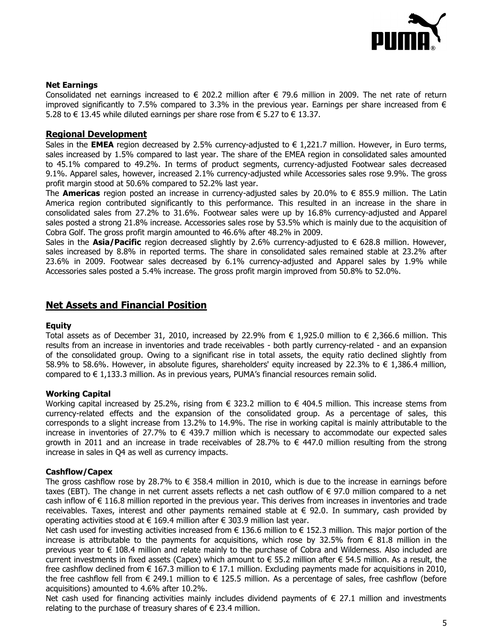

## **Net Earnings**

Consolidated net earnings increased to  $\epsilon$  202.2 million after  $\epsilon$  79.6 million in 2009. The net rate of return improved significantly to 7.5% compared to 3.3% in the previous year. Earnings per share increased from  $\epsilon$ 5.28 to € 13.45 while diluted earnings per share rose from € 5.27 to € 13.37.

## **Regional Development**

Sales in the **EMEA** region decreased by 2.5% currency-adjusted to  $\epsilon$  1,221.7 million. However, in Euro terms, sales increased by 1.5% compared to last year. The share of the EMEA region in consolidated sales amounted to 45.1% compared to 49.2%. In terms of product segments, currency-adjusted Footwear sales decreased 9.1%. Apparel sales, however, increased 2.1% currency-adjusted while Accessories sales rose 9.9%. The gross profit margin stood at 50.6% compared to 52.2% last year.

The **Americas** region posted an increase in currency-adjusted sales by 20.0% to € 855.9 million. The Latin America region contributed significantly to this performance. This resulted in an increase in the share in consolidated sales from 27.2% to 31.6%. Footwear sales were up by 16.8% currency-adjusted and Apparel sales posted a strong 21.8% increase. Accessories sales rose by 53.5% which is mainly due to the acquisition of Cobra Golf. The gross profit margin amounted to 46.6% after 48.2% in 2009.

Sales in the **Asia/Pacific** region decreased slightly by 2.6% currency-adjusted to € 628.8 million. However, sales increased by 8.8% in reported terms. The share in consolidated sales remained stable at 23.2% after 23.6% in 2009. Footwear sales decreased by 6.1% currency-adjusted and Apparel sales by 1.9% while Accessories sales posted a 5.4% increase. The gross profit margin improved from 50.8% to 52.0%.

# **Net Assets and Financial Position**

### **Equity**

Total assets as of December 31, 2010, increased by 22.9% from € 1,925.0 million to  $∈$  2,366.6 million. This results from an increase in inventories and trade receivables - both partly currency-related - and an expansion of the consolidated group. Owing to a significant rise in total assets, the equity ratio declined slightly from 58.9% to 58.6%. However, in absolute figures, shareholders' equity increased by 22.3% to  $\epsilon$  1,386.4 million, compared to  $\in$  1,133.3 million. As in previous years, PUMA's financial resources remain solid.

### **Working Capital**

Working capital increased by 25.2%, rising from  $\epsilon$  323.2 million to  $\epsilon$  404.5 million. This increase stems from currency-related effects and the expansion of the consolidated group. As a percentage of sales, this corresponds to a slight increase from 13.2% to 14.9%. The rise in working capital is mainly attributable to the increase in inventories of 27.7% to  $\in$  439.7 million which is necessary to accommodate our expected sales growth in 2011 and an increase in trade receivables of 28.7% to  $\epsilon$  447.0 million resulting from the strong increase in sales in Q4 as well as currency impacts.

### **Cashflow/Capex**

The gross cashflow rose by 28.7% to  $\epsilon$  358.4 million in 2010, which is due to the increase in earnings before taxes (EBT). The change in net current assets reflects a net cash outflow of € 97.0 million compared to a net cash inflow of € 116.8 million reported in the previous year. This derives from increases in inventories and trade receivables. Taxes, interest and other payments remained stable at  $\epsilon$  92.0. In summary, cash provided by operating activities stood at  $\epsilon$  169.4 million after  $\epsilon$  303.9 million last year.

Net cash used for investing activities increased from  $\epsilon$  136.6 million to  $\epsilon$  152.3 million. This major portion of the increase is attributable to the payments for acquisitions, which rose by 32.5% from  $\epsilon$  81.8 million in the previous year to € 108.4 million and relate mainly to the purchase of Cobra and Wilderness. Also included are current investments in fixed assets (Capex) which amount to  $\epsilon$  55.2 million after  $\epsilon$  54.5 million. As a result, the free cashflow declined from  $\in$  167.3 million to  $\in$  17.1 million. Excluding payments made for acquisitions in 2010, the free cashflow fell from € 249.1 million to € 125.5 million. As a percentage of sales, free cashflow (before acquisitions) amounted to 4.6% after 10.2%.

Net cash used for financing activities mainly includes dividend payments of  $\epsilon$  27.1 million and investments relating to the purchase of treasury shares of  $\epsilon$  23.4 million.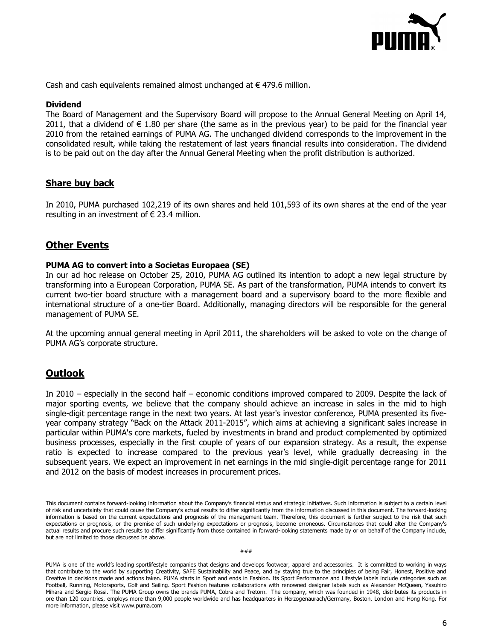

Cash and cash equivalents remained almost unchanged at  $\epsilon$  479.6 million.

#### **Dividend**

The Board of Management and the Supervisory Board will propose to the Annual General Meeting on April 14, 2011, that a dividend of  $\in$  1.80 per share (the same as in the previous year) to be paid for the financial year 2010 from the retained earnings of PUMA AG. The unchanged dividend corresponds to the improvement in the consolidated result, while taking the restatement of last years financial results into consideration. The dividend is to be paid out on the day after the Annual General Meeting when the profit distribution is authorized.

# **Share buy back**

In 2010, PUMA purchased 102,219 of its own shares and held 101,593 of its own shares at the end of the year resulting in an investment of  $\epsilon$  23.4 million.

# **Other Events**

#### **PUMA AG to convert into a Societas Europaea (SE)**

In our ad hoc release on October 25, 2010, PUMA AG outlined its intention to adopt a new legal structure by transforming into a European Corporation, PUMA SE. As part of the transformation, PUMA intends to convert its current two-tier board structure with a management board and a supervisory board to the more flexible and international structure of a one-tier Board. Additionally, managing directors will be responsible for the general management of PUMA SE.

At the upcoming annual general meeting in April 2011, the shareholders will be asked to vote on the change of PUMA AG's corporate structure.

# **Outlook**

In 2010 – especially in the second half – economic conditions improved compared to 2009. Despite the lack of major sporting events, we believe that the company should achieve an increase in sales in the mid to high single-digit percentage range in the next two years. At last year's investor conference, PUMA presented its fiveyear company strategy "Back on the Attack 2011-2015", which aims at achieving a significant sales increase in particular within PUMA's core markets, fueled by investments in brand and product complemented by optimized business processes, especially in the first couple of years of our expansion strategy. As a result, the expense ratio is expected to increase compared to the previous year's level, while gradually decreasing in the subsequent years. We expect an improvement in net earnings in the mid single-digit percentage range for 2011 and 2012 on the basis of modest increases in procurement prices.

PUMA is one of the world's leading sportlifestyle companies that designs and develops footwear, apparel and accessories. It is committed to working in ways that contribute to the world by supporting Creativity, SAFE Sustainability and Peace, and by staying true to the principles of being Fair, Honest, Positive and Creative in decisions made and actions taken. PUMA starts in Sport and ends in Fashion. Its Sport Performance and Lifestyle labels include categories such as Football, Running, Motorsports, Golf and Sailing. Sport Fashion features collaborations with renowned designer labels such as Alexander McQueen, Yasuhiro Mihara and Sergio Rossi. The PUMA Group owns the brands PUMA, Cobra and Tretorn. The company, which was founded in 1948, distributes its products in ore than 120 countries, employs more than 9,000 people worldwide and has headquarters in Herzogenaurach/Germany, Boston, London and Hong Kong. For more information, please visit www.puma.com

This document contains forward-looking information about the Company's financial status and strategic initiatives. Such information is subject to a certain level of risk and uncertainty that could cause the Company's actual results to differ significantly from the information discussed in this document. The forward-looking information is based on the current expectations and prognosis of the management team. Therefore, this document is further subject to the risk that such expectations or prognosis, or the premise of such underlying expectations or prognosis, become erroneous. Circumstances that could alter the Company's actual results and procure such results to differ significantly from those contained in forward-looking statements made by or on behalf of the Company include, but are not limited to those discussed be above.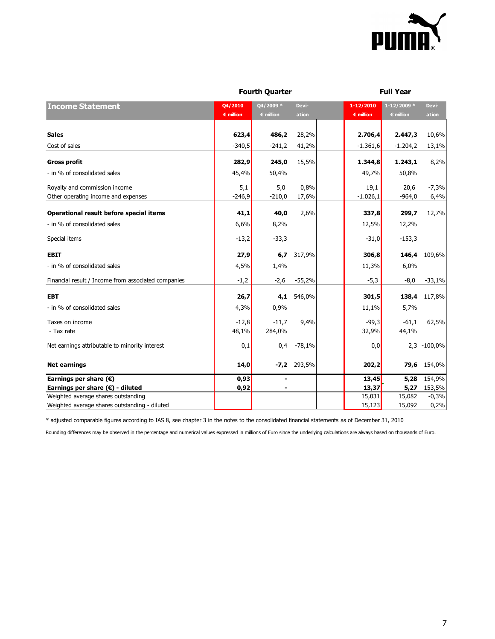

|                                                                                      |                               | <b>Fourth Quarter</b>           |                |                                 | <b>Full Year</b>             |                 |  |
|--------------------------------------------------------------------------------------|-------------------------------|---------------------------------|----------------|---------------------------------|------------------------------|-----------------|--|
| <b>Income Statement</b>                                                              | Q4/2010<br>$\epsilon$ million | Q4/2009 *<br>$\epsilon$ million | Devi-<br>ation | 1-12/2010<br>$\epsilon$ million | $1 - 12/2009$ *<br>€ million | Devi-<br>ation  |  |
| <b>Sales</b>                                                                         | 623,4                         | 486,2                           | 28,2%          | 2.706,4                         | 2.447,3                      | 10,6%           |  |
| Cost of sales                                                                        | $-340,5$                      | $-241,2$                        | 41,2%          | $-1.361,6$                      | $-1.204,2$                   | 13,1%           |  |
| <b>Gross profit</b>                                                                  | 282,9                         | 245,0                           | 15,5%          | 1.344,8                         | 1.243,1                      | 8,2%            |  |
| - in % of consolidated sales                                                         | 45,4%                         | 50,4%                           |                | 49,7%                           | 50,8%                        |                 |  |
| Royalty and commission income<br>Other operating income and expenses                 | 5,1<br>$-246,9$               | 5,0<br>$-210,0$                 | 0,8%<br>17,6%  | 19,1<br>$-1.026,1$              | 20,6<br>$-964,0$             | $-7,3%$<br>6,4% |  |
| Operational result before special items                                              | 41,1                          | 40,0                            | 2,6%           | 337,8                           | 299,7                        | 12,7%           |  |
| - in % of consolidated sales                                                         | 6,6%                          | 8,2%                            |                | 12,5%                           | 12,2%                        |                 |  |
| Special items                                                                        | $-13,2$                       | $-33,3$                         |                | $-31,0$                         | $-153,3$                     |                 |  |
| <b>EBIT</b>                                                                          | 27,9                          | 6,7                             | 317,9%         | 306,8                           | 146,4                        | 109,6%          |  |
| - in % of consolidated sales                                                         | 4,5%                          | 1,4%                            |                | 11,3%                           | 6,0%                         |                 |  |
| Financial result / Income from associated companies                                  | $-1,2$                        | $-2,6$                          | $-55,2%$       | $-5,3$                          | $-8,0$                       | $-33,1%$        |  |
| <b>EBT</b>                                                                           | 26,7                          | 4,1                             | 546,0%         | 301,5                           | 138,4                        | 117,8%          |  |
| - in % of consolidated sales                                                         | 4,3%                          | 0,9%                            |                | 11,1%                           | 5,7%                         |                 |  |
| Taxes on income<br>- Tax rate                                                        | $-12,8$<br>48,1%              | $-11,7$<br>284,0%               | 9,4%           | $-99,3$<br>32,9%                | $-61,1$<br>44,1%             | 62,5%           |  |
| Net earnings attributable to minority interest                                       | 0,1                           | 0,4                             | $-78,1%$       | 0,0                             |                              | 2,3 -100,0%     |  |
| <b>Net earnings</b>                                                                  | 14,0                          |                                 | $-7,2$ 293,5%  | 202,2                           | 79,6                         | 154,0%          |  |
| Earnings per share $(\epsilon)$                                                      | 0,93                          |                                 |                | 13,45                           | 5,28                         | 154,9%          |  |
| Earnings per share $(\epsilon)$ - diluted                                            | 0,92                          |                                 |                | 13,37                           | 5,27                         | 153,5%          |  |
| Weighted average shares outstanding<br>Weighted average shares outstanding - diluted |                               |                                 |                | 15,031                          | 15,082                       | $-0,3%$         |  |
|                                                                                      |                               |                                 |                | 15,123                          | 15,092                       | 0,2%            |  |

\* adjusted comparable figures according to IAS 8, see chapter 3 in the notes to the consolidated financial statements as of December 31, 2010

Rounding differences may be observed in the percentage and numerical values expressed in millions of Euro since the underlying calculations are always based on thousands of Euro.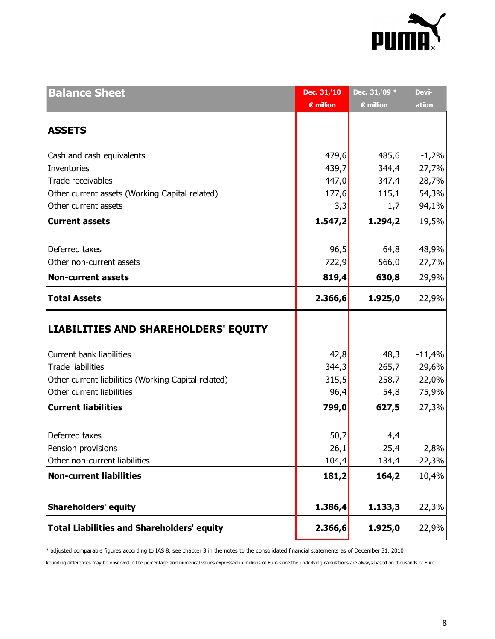

| <b>Balance Sheet</b>                                | Dec. 31,'10        | Dec. 31, '09 *     | Devi-    |
|-----------------------------------------------------|--------------------|--------------------|----------|
|                                                     | $\epsilon$ million | $\epsilon$ million | ation    |
|                                                     |                    |                    |          |
| <b>ASSETS</b>                                       |                    |                    |          |
| Cash and cash equivalents                           | 479,6              | 485,6              | $-1,2%$  |
| Inventories                                         | 439,7              | 344,4              | 27,7%    |
| Trade receivables                                   | 447,0              | 347,4              | 28,7%    |
| Other current assets (Working Capital related)      | 177,6              | 115,1              | 54,3%    |
| Other current assets                                | 3,3                | 1,7                | 94,1%    |
| <b>Current assets</b>                               | 1.547,2            | 1.294,2            | 19,5%    |
| Deferred taxes                                      | 96,5               | 64,8               | 48,9%    |
| Other non-current assets                            | 722,9              | 566,0              | 27,7%    |
| <b>Non-current assets</b>                           | 819,4              | 630,8              | 29,9%    |
| <b>Total Assets</b>                                 | 2.366,6            | 1.925,0            | 22,9%    |
| <b>LIABILITIES AND SHAREHOLDERS' EQUITY</b>         |                    |                    |          |
| Current bank liabilities                            | 42,8               | 48,3               | $-11,4%$ |
| <b>Trade liabilities</b>                            | 344,3              | 265,7              | 29,6%    |
| Other current liabilities (Working Capital related) | 315,5              | 258,7              | 22,0%    |
| Other current liabilities                           | 96,4               | 54,8               | 75,9%    |
| <b>Current liabilities</b>                          | 799,0              | 627,5              | 27,3%    |
| Deferred taxes                                      | 50,7               | 4,4                |          |
| Pension provisions                                  | 26,1               | 25,4               | 2,8%     |
| Other non-current liabilities                       | 104,4              | 134,4              | $-22,3%$ |
| <b>Non-current liabilities</b>                      | 181,2              | 164,2              | 10,4%    |
|                                                     |                    |                    |          |
| <b>Shareholders' equity</b>                         | 1.386,4            | 1.133,3            | 22,3%    |
| <b>Total Liabilities and Shareholders' equity</b>   | 2.366,6            | 1.925,0            | 22,9%    |

\* adjusted comparable figures according to IAS 8, see chapter 3 in the notes to the consolidated financial statements as of December 31, 2010

Rounding differences may be observed in the percentage and numerical values expressed in millions of Euro since the underlying calculations are always based on thousands of Euro.